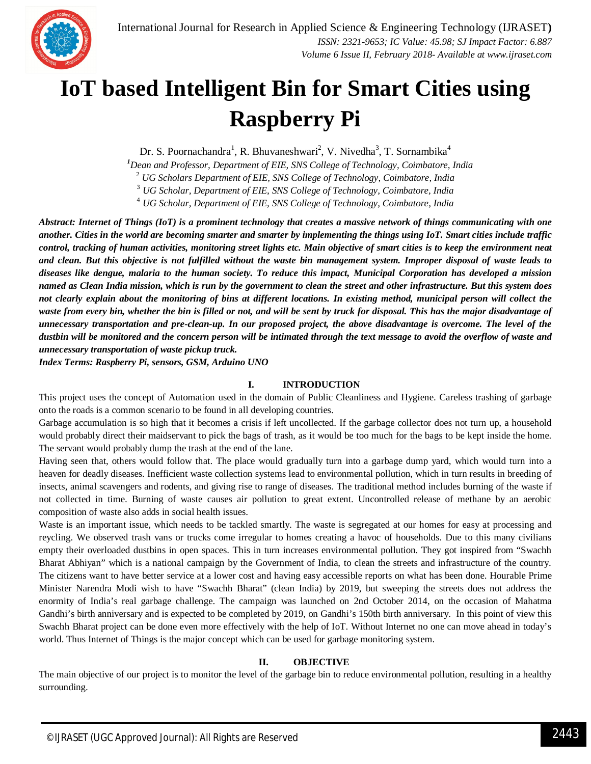

# **IoT based Intelligent Bin for Smart Cities using Raspberry Pi**

Dr. S. Poornachandra<sup>1</sup>, R. Bhuvaneshwari<sup>2</sup>, V. Nivedha<sup>3</sup>, T. Sornambika<sup>4</sup>

*<sup>1</sup>Dean and Professor, Department of EIE, SNS College of Technology, Coimbatore, India*

<sup>2</sup> *UG Scholars Department of EIE, SNS College of Technology, Coimbatore, India*

<sup>3</sup> *UG Scholar, Department of EIE, SNS College of Technology, Coimbatore, India*

<sup>4</sup> *UG Scholar, Department of EIE, SNS College of Technology, Coimbatore, India*

*Abstract: Internet of Things (IoT) is a prominent technology that creates a massive network of things communicating with one another. Cities in the world are becoming smarter and smarter by implementing the things using IoT. Smart cities include traffic control, tracking of human activities, monitoring street lights etc. Main objective of smart cities is to keep the environment neat and clean. But this objective is not fulfilled without the waste bin management system. Improper disposal of waste leads to diseases like dengue, malaria to the human society. To reduce this impact, Municipal Corporation has developed a mission named as Clean India mission, which is run by the government to clean the street and other infrastructure. But this system does not clearly explain about the monitoring of bins at different locations. In existing method, municipal person will collect the waste from every bin, whether the bin is filled or not, and will be sent by truck for disposal. This has the major disadvantage of unnecessary transportation and pre-clean-up. In our proposed project, the above disadvantage is overcome. The level of the dustbin will be monitored and the concern person will be intimated through the text message to avoid the overflow of waste and unnecessary transportation of waste pickup truck.* 

*Index Terms: Raspberry Pi, sensors, GSM, Arduino UNO*

## **I. INTRODUCTION**

This project uses the concept of Automation used in the domain of Public Cleanliness and Hygiene. Careless trashing of garbage onto the roads is a common scenario to be found in all developing countries.

Garbage accumulation is so high that it becomes a crisis if left uncollected. If the garbage collector does not turn up, a household would probably direct their maidservant to pick the bags of trash, as it would be too much for the bags to be kept inside the home. The servant would probably dump the trash at the end of the lane.

Having seen that, others would follow that. The place would gradually turn into a garbage dump yard, which would turn into a heaven for deadly diseases. Inefficient waste collection systems lead to environmental pollution, which in turn results in breeding of insects, animal scavengers and rodents, and giving rise to range of diseases. The traditional method includes burning of the waste if not collected in time. Burning of waste causes air pollution to great extent. Uncontrolled release of methane by an aerobic composition of waste also adds in social health issues.

Waste is an important issue, which needs to be tackled smartly. The waste is segregated at our homes for easy at processing and reycling. We observed trash vans or trucks come irregular to homes creating a havoc of households. Due to this many civilians empty their overloaded dustbins in open spaces. This in turn increases environmental pollution. They got inspired from "Swachh Bharat Abhiyan" which is a national campaign by the Government of India, to clean the streets and infrastructure of the country. The citizens want to have better service at a lower cost and having easy accessible reports on what has been done. Hourable Prime Minister Narendra Modi wish to have "Swachh Bharat" (clean India) by 2019, but sweeping the streets does not address the enormity of India's real garbage challenge. The campaign was launched on 2nd October 2014, on the occasion of Mahatma Gandhi's birth anniversary and is expected to be completed by 2019, on Gandhi's 150th birth anniversary. In this point of view this Swachh Bharat project can be done even more effectively with the help of IoT. Without Internet no one can move ahead in today's world. Thus Internet of Things is the major concept which can be used for garbage monitoring system.

## **II. OBJECTIVE**

The main objective of our project is to monitor the level of the garbage bin to reduce environmental pollution, resulting in a healthy surrounding.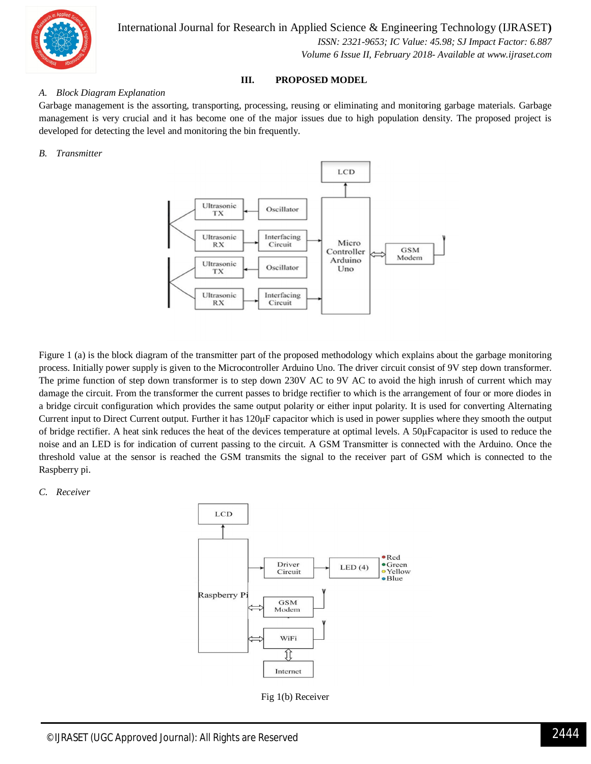

International Journal for Research in Applied Science & Engineering Technology (IJRASET**)**  *ISSN: 2321-9653; IC Value: 45.98; SJ Impact Factor: 6.887*

*Volume 6 Issue II, February 2018- Available at www.ijraset.com*

### **III. PROPOSED MODEL**

#### *A. Block Diagram Explanation*

Garbage management is the assorting, transporting, processing, reusing or eliminating and monitoring garbage materials. Garbage management is very crucial and it has become one of the major issues due to high population density. The proposed project is developed for detecting the level and monitoring the bin frequently.

#### *B. Transmitter*



Figure 1 (a) is the block diagram of the transmitter part of the proposed methodology which explains about the garbage monitoring process. Initially power supply is given to the Microcontroller Arduino Uno. The driver circuit consist of 9V step down transformer. The prime function of step down transformer is to step down 230V AC to 9V AC to avoid the high inrush of current which may damage the circuit. From the transformer the current passes to bridge rectifier to which is the arrangement of four or more diodes in a bridge circuit configuration which provides the same output polarity or either input polarity. It is used for converting Alternating Current input to Direct Current output. Further it has 120μF capacitor which is used in power supplies where they smooth the output of bridge rectifier. A heat sink reduces the heat of the devices temperature at optimal levels. A 50μFcapacitor is used to reduce the noise and an LED is for indication of current passing to the circuit. A GSM Transmitter is connected with the Arduino. Once the threshold value at the sensor is reached the GSM transmits the signal to the receiver part of GSM which is connected to the Raspberry pi.

#### *C. Receiver*



Fig 1(b) Receiver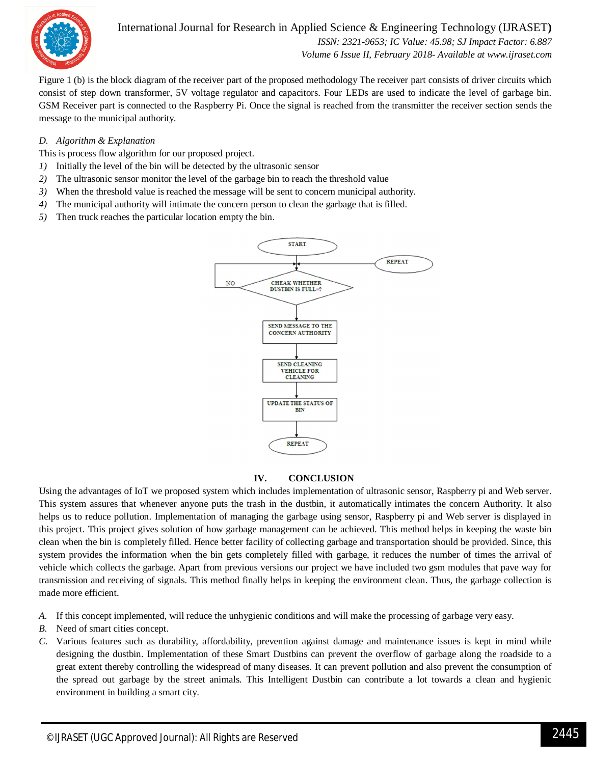

International Journal for Research in Applied Science & Engineering Technology (IJRASET**)**  *ISSN: 2321-9653; IC Value: 45.98; SJ Impact Factor: 6.887 Volume 6 Issue II, February 2018- Available at www.ijraset.com*

Figure 1 (b) is the block diagram of the receiver part of the proposed methodology The receiver part consists of driver circuits which consist of step down transformer, 5V voltage regulator and capacitors. Four LEDs are used to indicate the level of garbage bin. GSM Receiver part is connected to the Raspberry Pi. Once the signal is reached from the transmitter the receiver section sends the message to the municipal authority.

## *D. Algorithm & Explanation*

This is process flow algorithm for our proposed project.

- *1)* Initially the level of the bin will be detected by the ultrasonic sensor
- *2)* The ultrasonic sensor monitor the level of the garbage bin to reach the threshold value
- *3)* When the threshold value is reached the message will be sent to concern municipal authority.
- *4)* The municipal authority will intimate the concern person to clean the garbage that is filled.
- *5)* Then truck reaches the particular location empty the bin.



## **IV. CONCLUSION**

Using the advantages of IoT we proposed system which includes implementation of ultrasonic sensor, Raspberry pi and Web server. This system assures that whenever anyone puts the trash in the dustbin, it automatically intimates the concern Authority. It also helps us to reduce pollution. Implementation of managing the garbage using sensor, Raspberry pi and Web server is displayed in this project. This project gives solution of how garbage management can be achieved. This method helps in keeping the waste bin clean when the bin is completely filled. Hence better facility of collecting garbage and transportation should be provided. Since, this system provides the information when the bin gets completely filled with garbage, it reduces the number of times the arrival of vehicle which collects the garbage. Apart from previous versions our project we have included two gsm modules that pave way for transmission and receiving of signals. This method finally helps in keeping the environment clean. Thus, the garbage collection is made more efficient.

- *A.* If this concept implemented, will reduce the unhygienic conditions and will make the processing of garbage very easy.
- *B.* Need of smart cities concept.
- *C.* Various features such as durability, affordability, prevention against damage and maintenance issues is kept in mind while designing the dustbin. Implementation of these Smart Dustbins can prevent the overflow of garbage along the roadside to a great extent thereby controlling the widespread of many diseases. It can prevent pollution and also prevent the consumption of the spread out garbage by the street animals. This Intelligent Dustbin can contribute a lot towards a clean and hygienic environment in building a smart city.